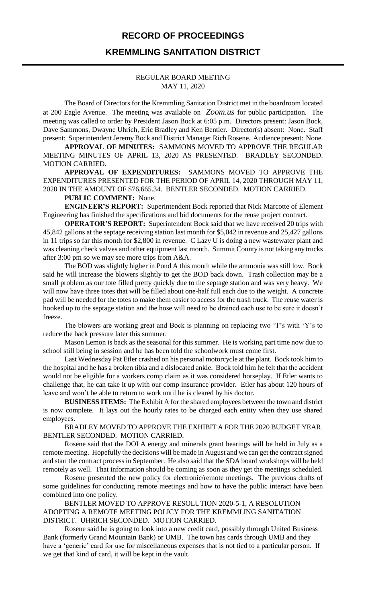### **RECORD OF PROCEEDINGS**

### **KREMMLING SANITATION DISTRICT**

#### REGULAR BOARD MEETING MAY 11, 2020

The Board of Directors for the Kremmling Sanitation District met in the boardroom located at 200 Eagle Avenue. The meeting was available on *Zoom.us* for public participation. The meeting was called to order by President Jason Bock at 6:05 p.m. Directors present: Jason Bock, Dave Sammons, Dwayne Uhrich, Eric Bradley and Ken Bentler. Director(s) absent: None. Staff present: Superintendent Jeremy Bock and District Manager Rich Rosene. Audience present: None.

**APPROVAL OF MINUTES:** SAMMONS MOVED TO APPROVE THE REGULAR MEETING MINUTES OF APRIL 13, 2020 AS PRESENTED. BRADLEY SECONDED. MOTION CARRIED.

**APPROVAL OF EXPENDITURES:** SAMMONS MOVED TO APPROVE THE EXPENDITURES PRESENTED FOR THE PERIOD OF APRIL 14, 2020 THROUGH MAY 11, 2020 IN THE AMOUNT OF \$76,665.34. BENTLER SECONDED. MOTION CARRIED.

#### **PUBLIC COMMENT:** None.

**ENGINEER'S REPORT:** Superintendent Bock reported that Nick Marcotte of Element Engineering has finished the specifications and bid documents for the reuse project contract.

**OPERATOR'S REPORT:** Superintendent Bock said that we have received 20 trips with 45,842 gallons at the septage receiving station last month for \$5,042 in revenue and 25,427 gallons in 11 trips so far this month for \$2,800 in revenue. C Lazy U is doing a new wastewater plant and was cleaning check valves and other equipment last month. Summit County is not taking any trucks after 3:00 pm so we may see more trips from A&A.

The BOD was slightly higher in Pond A this month while the ammonia was still low. Bock said he will increase the blowers slightly to get the BOD back down. Trash collection may be a small problem as our tote filled pretty quickly due to the septage station and was very heavy. We will now have three totes that will be filled about one-half full each due to the weight. A concrete pad will be needed for the totes to make them easier to access for the trash truck. The reuse water is hooked up to the septage station and the hose will need to be drained each use to be sure it doesn't freeze.

The blowers are working great and Bock is planning on replacing two 'T's with 'Y's to reduce the back pressure later this summer.

Mason Lemon is back as the seasonal for this summer. He is working part time now due to school still being in session and he has been told the schoolwork must come first.

Last Wednesday Pat Etler crashed on his personal motorcycle at the plant. Bock took him to the hospital and he has a broken tibia and a dislocated ankle. Bock told him he felt that the accident would not be eligible for a workers comp claim as it was considered horseplay. If Etler wants to challenge that, he can take it up with our comp insurance provider. Etler has about 120 hours of leave and won't be able to return to work until he is cleared by his doctor.

**BUSINESS ITEMS:** The Exhibit A for the shared employees between the town and district is now complete. It lays out the hourly rates to be charged each entity when they use shared employees.

BRADLEY MOVED TO APPROVE THE EXHIBIT A FOR THE 2020 BUDGET YEAR. BENTLER SECONDED. MOTION CARRIED.

Rosene said that the DOLA energy and minerals grant hearings will be held in July as a remote meeting. Hopefully the decisions will be made in August and we can get the contract signed and start the contract process in September. He also said that the SDA board workshops will be held remotely as well. That information should be coming as soon as they get the meetings scheduled.

Rosene presented the new policy for electronic/remote meetings. The previous drafts of some guidelines for conducting remote meetings and how to have the public interact have been combined into one policy.

BENTLER MOVED TO APPROVE RESOLUTION 2020-5-1, A RESOLUTION ADOPTING A REMOTE MEETING POLICY FOR THE KREMMLING SANITATION DISTRICT. UHRICH SECONDED. MOTION CARRIED.

Rosene said he is going to look into a new credit card, possibly through United Business Bank (formerly Grand Mountain Bank) or UMB. The town has cards through UMB and they have a 'generic' card for use for miscellaneous expenses that is not tied to a particular person. If we get that kind of card, it will be kept in the vault.